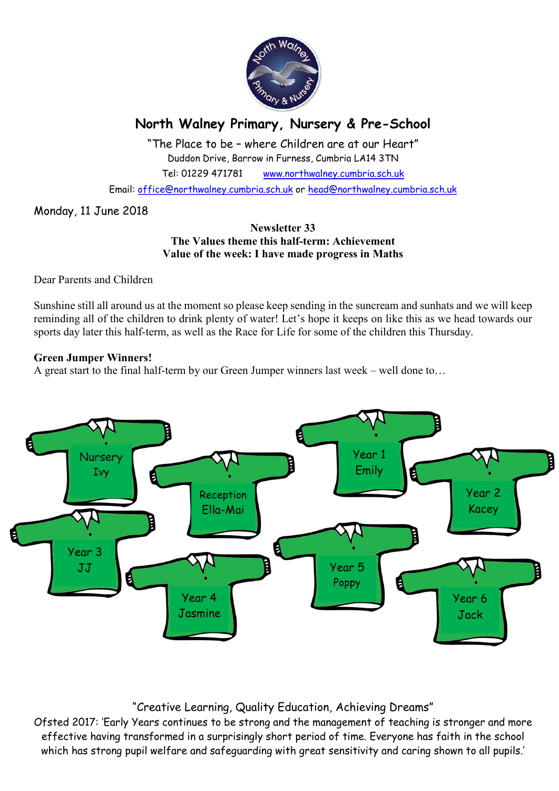

# North Walney Primary, Nursery & Pre-School

"The Place to be – where Children are at our Heart" Duddon Drive, Barrow in Furness, Cumbria LA14 3TN Tel: 01229 471781 www.northwalney.cumbria.sch.uk

Email: office@northwalney.cumbria.sch.uk or head@northwalney.cumbria.sch.uk

Monday, 11 June 2018

## Newsletter 33 The Values theme this half-term: Achievement Value of the week: I have made progress in Maths

Dear Parents and Children

Sunshine still all around us at the moment so please keep sending in the suncream and sunhats and we will keep reminding all of the children to drink plenty of water! Let's hope it keeps on like this as we head towards our sports day later this half-term, as well as the Race for Life for some of the children this Thursday.

## Green Jumper Winners!

A great start to the final half-term by our Green Jumper winners last week – well done to…



## "Creative Learning, Quality Education, Achieving Dreams"

Ofsted 2017: 'Early Years continues to be strong and the management of teaching is stronger and more effective having transformed in a surprisingly short period of time. Everyone has faith in the school which has strong pupil welfare and safeguarding with great sensitivity and caring shown to all pupils.'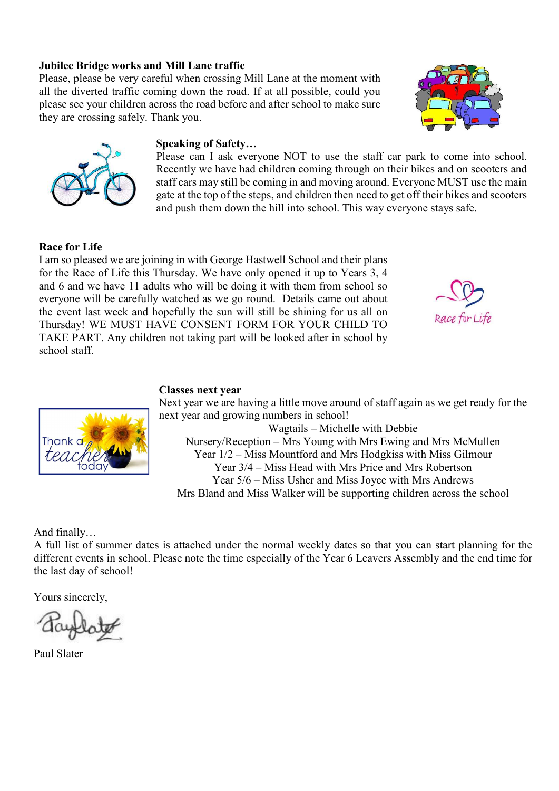### Jubilee Bridge works and Mill Lane traffic

Please, please be very careful when crossing Mill Lane at the moment with all the diverted traffic coming down the road. If at all possible, could you please see your children across the road before and after school to make sure they are crossing safely. Thank you.





## Speaking of Safety…

Please can I ask everyone NOT to use the staff car park to come into school. Recently we have had children coming through on their bikes and on scooters and staff cars may still be coming in and moving around. Everyone MUST use the main gate at the top of the steps, and children then need to get off their bikes and scooters and push them down the hill into school. This way everyone stays safe.

#### Race for Life

I am so pleased we are joining in with George Hastwell School and their plans for the Race of Life this Thursday. We have only opened it up to Years 3, 4 and 6 and we have 11 adults who will be doing it with them from school so everyone will be carefully watched as we go round. Details came out about the event last week and hopefully the sun will still be shining for us all on Thursday! WE MUST HAVE CONSENT FORM FOR YOUR CHILD TO TAKE PART. Any children not taking part will be looked after in school by school staff.





#### Classes next year

Next year we are having a little move around of staff again as we get ready for the next year and growing numbers in school!

Wagtails – Michelle with Debbie Nursery/Reception – Mrs Young with Mrs Ewing and Mrs McMullen Year 1/2 – Miss Mountford and Mrs Hodgkiss with Miss Gilmour Year 3/4 – Miss Head with Mrs Price and Mrs Robertson Year 5/6 – Miss Usher and Miss Joyce with Mrs Andrews Mrs Bland and Miss Walker will be supporting children across the school

And finally…

A full list of summer dates is attached under the normal weekly dates so that you can start planning for the different events in school. Please note the time especially of the Year 6 Leavers Assembly and the end time for the last day of school!

Yours sincerely,

Paul Slater